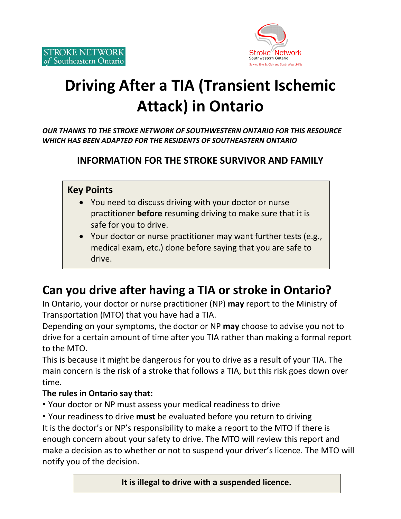

# **Driving After a TIA (Transient Ischemic Attack) in Ontario**

*OUR THANKS TO THE STROKE NETWORK OF SOUTHWESTERN ONTARIO FOR THIS RESOURCE WHICH HAS BEEN ADAPTED FOR THE RESIDENTS OF SOUTHEASTERN ONTARIO*

#### **INFORMATION FOR THE STROKE SURVIVOR AND FAMILY**

#### **Key Points**

- You need to discuss driving with your doctor or nurse practitioner **before** resuming driving to make sure that it is safe for you to drive.
- Your doctor or nurse practitioner may want further tests (e.g., medical exam, etc.) done before saying that you are safe to drive.

### **Can you drive after having a TIA or stroke in Ontario?**

In Ontario, your doctor or nurse practitioner (NP) **may** report to the Ministry of Transportation (MTO) that you have had a TIA.

Depending on your symptoms, the doctor or NP **may** choose to advise you not to drive for a certain amount of time after you TIA rather than making a formal report to the MTO.

This is because it might be dangerous for you to drive as a result of your TIA. The main concern is the risk of a stroke that follows a TIA, but this risk goes down over time.

#### **The rules in Ontario say that:**

• Your doctor or NP must assess your medical readiness to drive

• Your readiness to drive **must** be evaluated before you return to driving It is the doctor's or NP's responsibility to make a report to the MTO if there is enough concern about your safety to drive. The MTO will review this report and make a decision as to whether or not to suspend your driver's licence. The MTO will notify you of the decision.

 **It is illegal to drive with a suspended licence.**